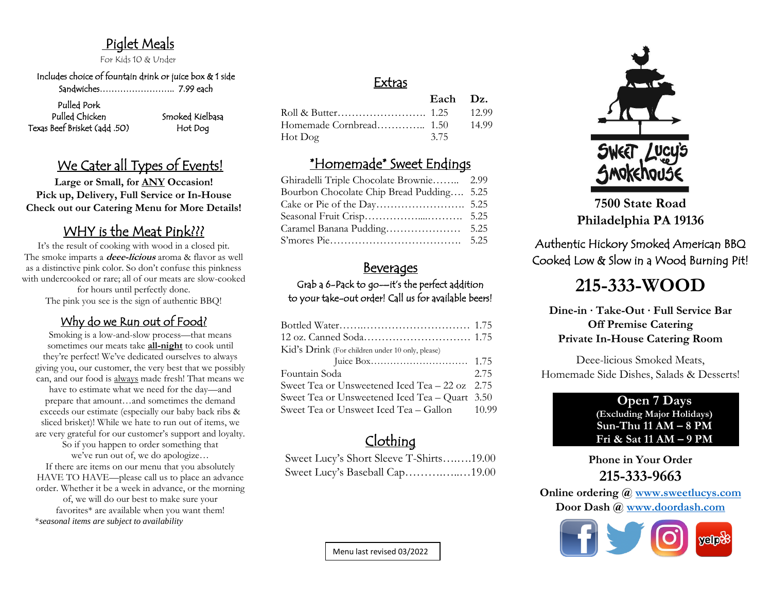# Piglet Meals

For Kids 10 & Under

 Includes choice of fountain drink or juice box & 1 side Sandwiches…………………….. 7.99 each

#### Pulled Pork Pulled Chicken Smoked Kielbasa Texas Beef Brisket (add .50)

Hot Dog

# We Cater all Types of Events!

**Large or Small, for ANY Occasion! Pick up, Delivery, Full Service or In-House Check out our Catering Menu for More Details!**

# WHY is the Meat Pink???

It's the result of cooking with wood in a closed pit. The smoke imparts a **deee-licious** aroma & flavor as well as a distinctive pink color. So don't confuse this pinkness with undercooked or rare; all of our meats are slow-cooked for hours until perfectly done. The pink you see is the sign of authentic BBQ!

### Why do we Run out of Food?

Smoking is a low-and-slow process—that means sometimes our meats take **all-night** to cook until they're perfect! We've dedicated ourselves to always giving you, our customer, the very best that we possibly can, and our food is always made fresh! That means we have to estimate what we need for the day—and prepare that amount…and sometimes the demand exceeds our estimate (especially our baby back ribs & sliced brisket)! While we hate to run out of items, we are very grateful for our customer's support and loyalty. So if you happen to order something that we've run out of, we do apologize… If there are items on our menu that you absolutely

HAVE TO HAVE—please call us to place an advance order. Whether it be a week in advance, or the morning of, we will do our best to make sure your favorites\* are available when you want them! \**seasonal items are subject to availability*

# Extras

|         | Each Dz. |       |
|---------|----------|-------|
|         |          |       |
|         |          | 14.99 |
| Hot Dog | 3.75     |       |

# \*Homemade\* Sweet Endings

| Ghiradelli Triple Chocolate Brownie 2.99  |  |
|-------------------------------------------|--|
| Bourbon Chocolate Chip Bread Pudding 5.25 |  |
|                                           |  |
|                                           |  |
|                                           |  |
|                                           |  |

## **Beverages**

Grab a 6-Pack to go—it's the perfect addition to your take-out order! Call us for available beers!

| Kid's Drink (For children under 10 only, please) |      |
|--------------------------------------------------|------|
|                                                  |      |
| Fountain Soda                                    | 2.75 |
| Sweet Tea or Unsweetened Iced Tea – 22 oz 2.75   |      |
| Sweet Tea or Unsweetened Iced Tea - Quart 3.50   |      |
| Sweet Tea or Unsweet Iced Tea – Gallon 10.99     |      |
|                                                  |      |

# Clothing

Sweet Lucy's Short Sleeve T-Shirts….….19.00 Sweet Lucy's Baseball Cap……….…..…19.00



**7500 State Road Philadelphia PA 19136**

Authentic Hickory Smoked American BBQ Cooked Low & Slow in a Wood Burning Pit!

# **215-333-WOOD**

**Dine-in ∙ Take-Out ∙ Full Service Bar Off Premise Catering Private In-House Catering Room**

Deee-licious Smoked Meats, Homemade Side Dishes, Salads & Desserts!

#### **Open 7 Days (Excluding Major Holidays) Sun-Thu 11 AM – 8 PM Fri & Sat 11 AM – 9 PM**

**Phone in Your Order 215-333-9663**

**Online ordering @ [www.sweetlucys.com](http://www.sweetlucys.com/) Door Dash @ [www.doordash.com](http://www.doordash.com/)**